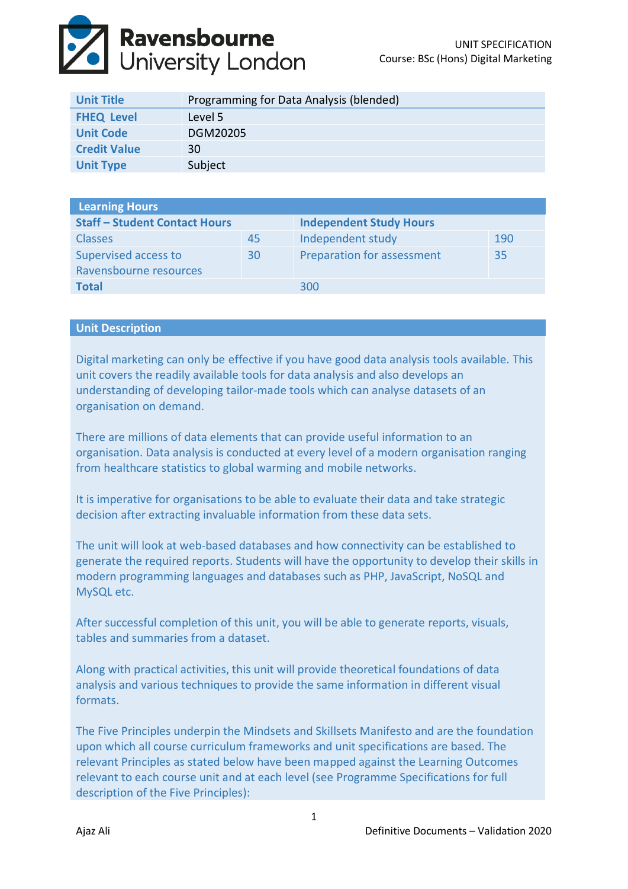

| <b>Unit Title</b>   | Programming for Data Analysis (blended) |
|---------------------|-----------------------------------------|
| <b>FHEQ Level</b>   | Level 5                                 |
| <b>Unit Code</b>    | DGM20205                                |
| <b>Credit Value</b> | 30                                      |
| <b>Unit Type</b>    | Subject                                 |

| <b>Learning Hours</b>                |    |                                |     |  |  |
|--------------------------------------|----|--------------------------------|-----|--|--|
| <b>Staff - Student Contact Hours</b> |    | <b>Independent Study Hours</b> |     |  |  |
| <b>Classes</b>                       | 45 | Independent study              | 190 |  |  |
| Supervised access to                 | 30 | Preparation for assessment     | 35  |  |  |
| Ravensbourne resources               |    |                                |     |  |  |
| <b>Total</b>                         |    | 300                            |     |  |  |

## **Unit Description**

Digital marketing can only be effective if you have good data analysis tools available. This unit covers the readily available tools for data analysis and also develops an understanding of developing tailor-made tools which can analyse datasets of an organisation on demand.

There are millions of data elements that can provide useful information to an organisation. Data analysis is conducted at every level of a modern organisation ranging from healthcare statistics to global warming and mobile networks.

It is imperative for organisations to be able to evaluate their data and take strategic decision after extracting invaluable information from these data sets.

The unit will look at web-based databases and how connectivity can be established to generate the required reports. Students will have the opportunity to develop their skills in modern programming languages and databases such as PHP, JavaScript, NoSQL and MySQL etc.

After successful completion of this unit, you will be able to generate reports, visuals, tables and summaries from a dataset.

Along with practical activities, this unit will provide theoretical foundations of data analysis and various techniques to provide the same information in different visual formats.

The Five Principles underpin the Mindsets and Skillsets Manifesto and are the foundation upon which all course curriculum frameworks and unit specifications are based. The relevant Principles as stated below have been mapped against the Learning Outcomes relevant to each course unit and at each level (see Programme Specifications for full description of the Five Principles):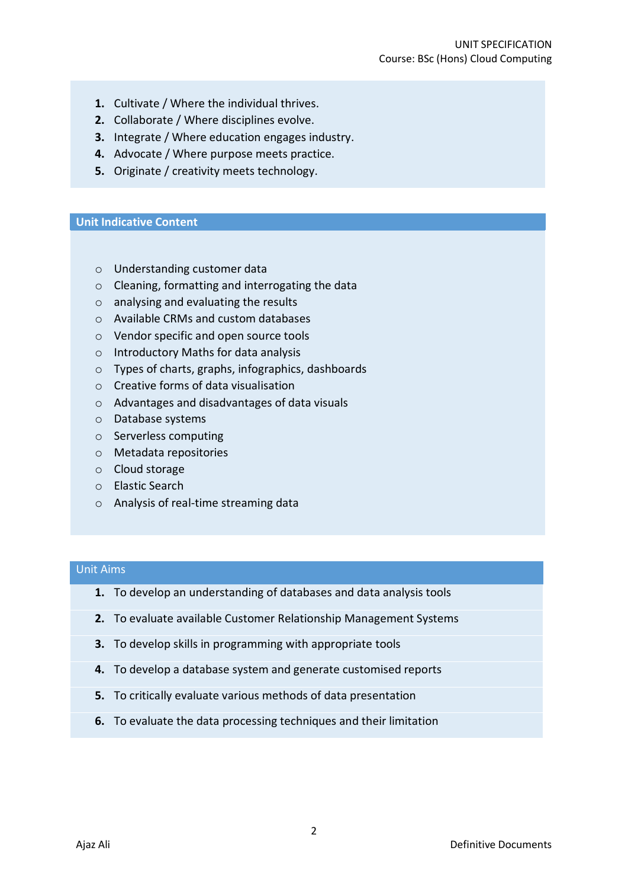- **1.** Cultivate / Where the individual thrives.
- **2.** Collaborate / Where disciplines evolve.
- **3.** Integrate / Where education engages industry.
- **4.** Advocate / Where purpose meets practice.
- **5.** Originate / creativity meets technology.

#### **Unit Indicative Content**

- o Understanding customer data
- o Cleaning, formatting and interrogating the data
- o analysing and evaluating the results
- o Available CRMs and custom databases
- o Vendor specific and open source tools
- o Introductory Maths for data analysis
- o Types of charts, graphs, infographics, dashboards
- o Creative forms of data visualisation
- o Advantages and disadvantages of data visuals
- o Database systems
- o Serverless computing
- o Metadata repositories
- o Cloud storage
- o Elastic Search
- o Analysis of real-time streaming data

### Unit Aims

- **1.** To develop an understanding of databases and data analysis tools
- **2.** To evaluate available Customer Relationship Management Systems
- **3.** To develop skills in programming with appropriate tools
- **4.** To develop a database system and generate customised reports
- **5.** To critically evaluate various methods of data presentation
- **6.** To evaluate the data processing techniques and their limitation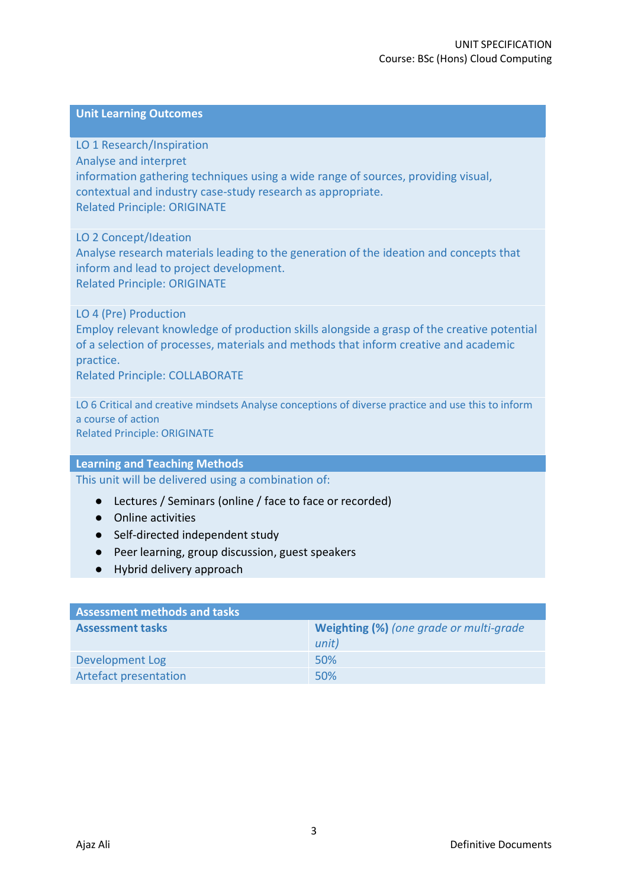## **Unit Learning Outcomes**

LO 1 Research/Inspiration Analyse and interpret information gathering techniques using a wide range of sources, providing visual, contextual and industry case-study research as appropriate. Related Principle: ORIGINATE

LO 2 Concept/Ideation Analyse research materials leading to the generation of the ideation and concepts that inform and lead to project development. Related Principle: ORIGINATE

LO 4 (Pre) Production Employ relevant knowledge of production skills alongside a grasp of the creative potential of a selection of processes, materials and methods that inform creative and academic practice.

Related Principle: COLLABORATE

LO 6 Critical and creative mindsets Analyse conceptions of diverse practice and use this to inform a course of action Related Principle: ORIGINATE

### **Learning and Teaching Methods**

This unit will be delivered using a combination of:

- Lectures / Seminars (online / face to face or recorded)
- Online activities
- Self-directed independent study
- Peer learning, group discussion, guest speakers
- Hybrid delivery approach

| <b>Assessment methods and tasks</b> |                                         |  |  |
|-------------------------------------|-----------------------------------------|--|--|
| <b>Assessment tasks</b>             | Weighting (%) (one grade or multi-grade |  |  |
|                                     | unit)                                   |  |  |
| Development Log                     | 50%                                     |  |  |
| <b>Artefact presentation</b>        | 50%                                     |  |  |